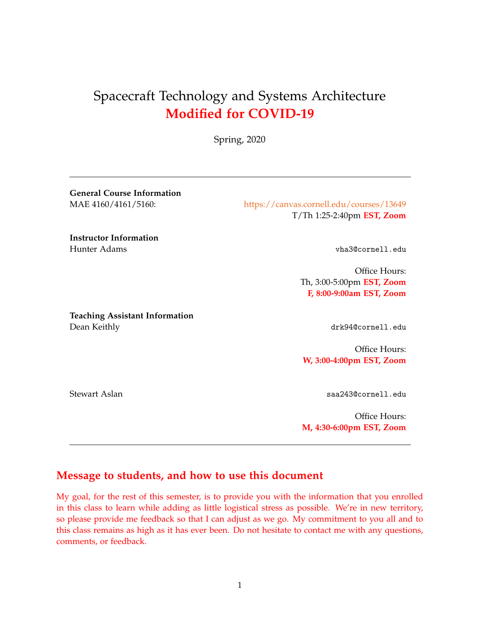# Spacecraft Technology and Systems Architecture **Modified for COVID-19**

Spring, 2020

**General Course Information**

MAE 4160/4161/5160: <https://canvas.cornell.edu/courses/13649> T/Th 1:25-2:40pm **EST, Zoom**

**Instructor Information** Hunter Adams vha3@cornell.edu

Office Hours: Th, 3:00-5:00pm **EST, Zoom F, 8:00-9:00am EST, Zoom**

**Teaching Assistant Information** Dean Keithly drk94@cornell.edu

Office Hours: **W, 3:00-4:00pm EST, Zoom**

Stewart Aslan saa243@cornell.edu

Office Hours: **M, 4:30-6:00pm EST, Zoom**

### **Message to students, and how to use this document**

My goal, for the rest of this semester, is to provide you with the information that you enrolled in this class to learn while adding as little logistical stress as possible. We're in new territory, so please provide me feedback so that I can adjust as we go. My commitment to you all and to this class remains as high as it has ever been. Do not hesitate to contact me with any questions, comments, or feedback.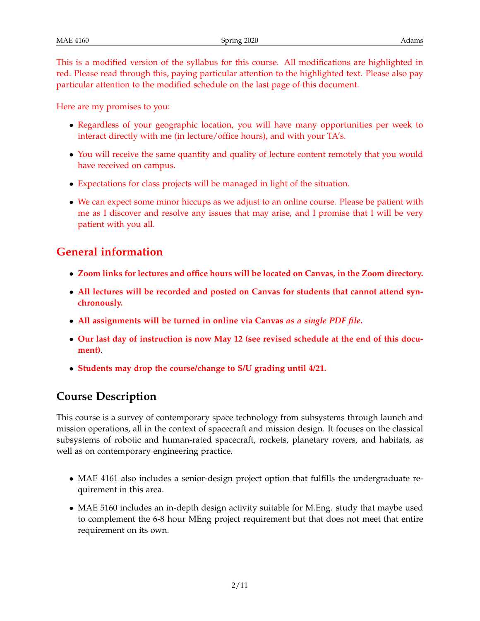This is a modified version of the syllabus for this course. All modifications are highlighted in red. Please read through this, paying particular attention to the highlighted text. Please also pay particular attention to the modified schedule on the last page of this document.

Here are my promises to you:

- Regardless of your geographic location, you will have many opportunities per week to interact directly with me (in lecture/office hours), and with your TA's.
- You will receive the same quantity and quality of lecture content remotely that you would have received on campus.
- Expectations for class projects will be managed in light of the situation.
- We can expect some minor hiccups as we adjust to an online course. Please be patient with me as I discover and resolve any issues that may arise, and I promise that I will be very patient with you all.

### **General information**

- **Zoom links for lectures and office hours will be located on Canvas, in the Zoom directory.**
- **All lectures will be recorded and posted on Canvas for students that cannot attend synchronously.**
- **All assignments will be turned in online via Canvas** *as a single PDF file***.**
- **Our last day of instruction is now May 12 (see revised schedule at the end of this document)**.
- **Students may drop the course/change to S/U grading until 4/21.**

### **Course Description**

This course is a survey of contemporary space technology from subsystems through launch and mission operations, all in the context of spacecraft and mission design. It focuses on the classical subsystems of robotic and human-rated spacecraft, rockets, planetary rovers, and habitats, as well as on contemporary engineering practice.

- MAE 4161 also includes a senior-design project option that fulfills the undergraduate requirement in this area.
- MAE 5160 includes an in-depth design activity suitable for M.Eng. study that maybe used to complement the 6-8 hour MEng project requirement but that does not meet that entire requirement on its own.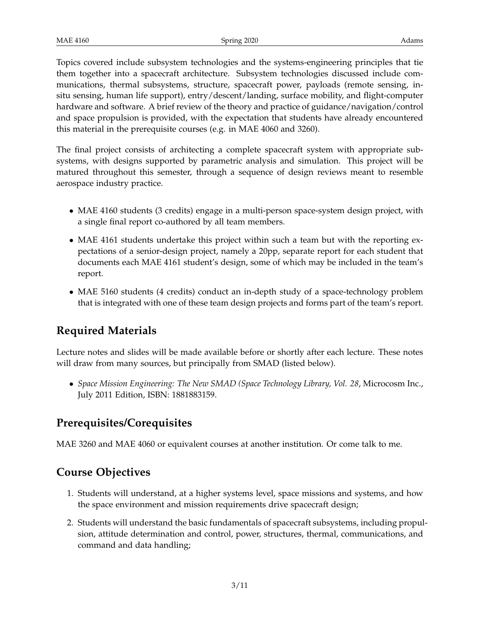Topics covered include subsystem technologies and the systems-engineering principles that tie them together into a spacecraft architecture. Subsystem technologies discussed include communications, thermal subsystems, structure, spacecraft power, payloads (remote sensing, insitu sensing, human life support), entry/descent/landing, surface mobility, and flight-computer hardware and software. A brief review of the theory and practice of guidance/navigation/control and space propulsion is provided, with the expectation that students have already encountered this material in the prerequisite courses (e.g. in MAE 4060 and 3260).

The final project consists of architecting a complete spacecraft system with appropriate subsystems, with designs supported by parametric analysis and simulation. This project will be matured throughout this semester, through a sequence of design reviews meant to resemble aerospace industry practice.

- MAE 4160 students (3 credits) engage in a multi-person space-system design project, with a single final report co-authored by all team members.
- MAE 4161 students undertake this project within such a team but with the reporting expectations of a senior-design project, namely a 20pp, separate report for each student that documents each MAE 4161 student's design, some of which may be included in the team's report.
- MAE 5160 students (4 credits) conduct an in-depth study of a space-technology problem that is integrated with one of these team design projects and forms part of the team's report.

## **Required Materials**

Lecture notes and slides will be made available before or shortly after each lecture. These notes will draw from many sources, but principally from SMAD (listed below).

• *Space Mission Engineering: The New SMAD (Space Technology Library, Vol. 28*, Microcosm Inc., July 2011 Edition, ISBN: 1881883159.

### **Prerequisites/Corequisites**

MAE 3260 and MAE 4060 or equivalent courses at another institution. Or come talk to me.

## **Course Objectives**

- 1. Students will understand, at a higher systems level, space missions and systems, and how the space environment and mission requirements drive spacecraft design;
- 2. Students will understand the basic fundamentals of spacecraft subsystems, including propulsion, attitude determination and control, power, structures, thermal, communications, and command and data handling;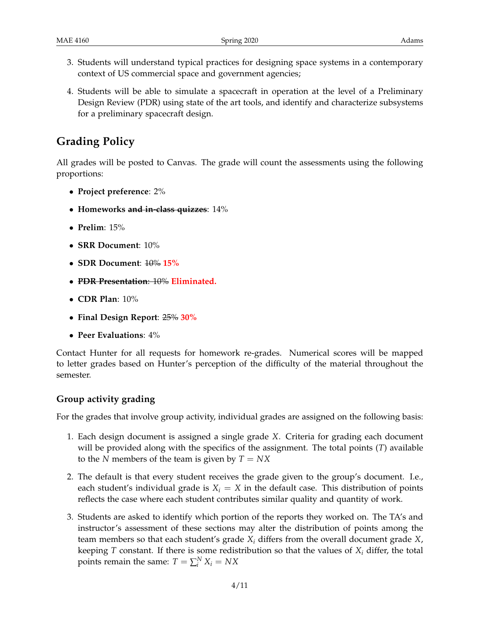- 3. Students will understand typical practices for designing space systems in a contemporary context of US commercial space and government agencies;
- 4. Students will be able to simulate a spacecraft in operation at the level of a Preliminary Design Review (PDR) using state of the art tools, and identify and characterize subsystems for a preliminary spacecraft design.

### **Grading Policy**

All grades will be posted to Canvas. The grade will count the assessments using the following proportions:

- **Project preference**: 2%
- **Homeworks and in-class quizzes**: 14%
- **Prelim**: 15%
- **SRR Document**: 10%
- **SDR Document**: 10% **15%**
- **PDR Presentation**: 10% **Eliminated.**
- **CDR Plan**: 10%
- **Final Design Report**: 25% **30%**
- **Peer Evaluations**: 4%

Contact Hunter for all requests for homework re-grades. Numerical scores will be mapped to letter grades based on Hunter's perception of the difficulty of the material throughout the semester.

#### **Group activity grading**

For the grades that involve group activity, individual grades are assigned on the following basis:

- 1. Each design document is assigned a single grade *X*. Criteria for grading each document will be provided along with the specifics of the assignment. The total points (*T*) available to the *N* members of the team is given by *T* = *NX*
- 2. The default is that every student receives the grade given to the group's document. I.e., each student's individual grade is  $X_i = X$  in the default case. This distribution of points reflects the case where each student contributes similar quality and quantity of work.
- 3. Students are asked to identify which portion of the reports they worked on. The TA's and instructor's assessment of these sections may alter the distribution of points among the team members so that each student's grade *X<sup>i</sup>* differs from the overall document grade *X*, keeping *T* constant. If there is some redistribution so that the values of  $X_i$  differ, the total points remain the same:  $T = \sum_i^N X_i = N X$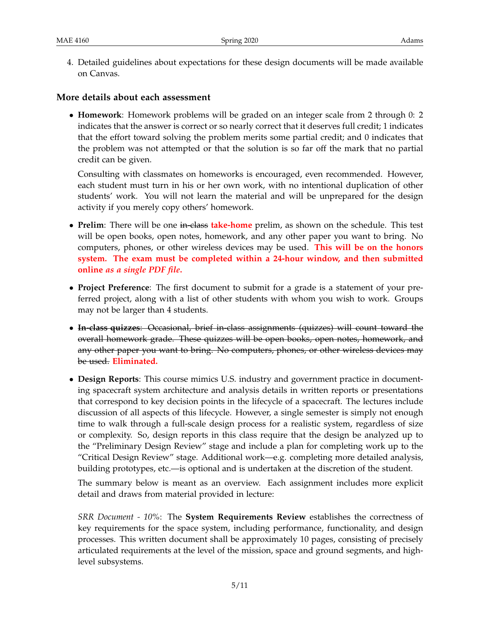4. Detailed guidelines about expectations for these design documents will be made available on Canvas.

#### **More details about each assessment**

• **Homework**: Homework problems will be graded on an integer scale from 2 through 0: 2 indicates that the answer is correct or so nearly correct that it deserves full credit; 1 indicates that the effort toward solving the problem merits some partial credit; and 0 indicates that the problem was not attempted or that the solution is so far off the mark that no partial credit can be given.

Consulting with classmates on homeworks is encouraged, even recommended. However, each student must turn in his or her own work, with no intentional duplication of other students' work. You will not learn the material and will be unprepared for the design activity if you merely copy others' homework.

- **Prelim**: There will be one in-class **take-home** prelim, as shown on the schedule. This test will be open books, open notes, homework, and any other paper you want to bring. No computers, phones, or other wireless devices may be used. **This will be on the honors system. The exam must be completed within a 24-hour window, and then submitted online** *as a single PDF file***.**
- **Project Preference**: The first document to submit for a grade is a statement of your preferred project, along with a list of other students with whom you wish to work. Groups may not be larger than 4 students.
- **In-class quizzes**: Occasional, brief in-class assignments (quizzes) will count toward the overall homework grade. These quizzes will be open books, open notes, homework, and any other paper you want to bring. No computers, phones, or other wireless devices may be used. **Eliminated.**
- **Design Reports**: This course mimics U.S. industry and government practice in documenting spacecraft system architecture and analysis details in written reports or presentations that correspond to key decision points in the lifecycle of a spacecraft. The lectures include discussion of all aspects of this lifecycle. However, a single semester is simply not enough time to walk through a full-scale design process for a realistic system, regardless of size or complexity. So, design reports in this class require that the design be analyzed up to the "Preliminary Design Review" stage and include a plan for completing work up to the "Critical Design Review" stage. Additional work—e.g. completing more detailed analysis, building prototypes, etc.—is optional and is undertaken at the discretion of the student.

The summary below is meant as an overview. Each assignment includes more explicit detail and draws from material provided in lecture:

*SRR Document - 10%*: The **System Requirements Review** establishes the correctness of key requirements for the space system, including performance, functionality, and design processes. This written document shall be approximately 10 pages, consisting of precisely articulated requirements at the level of the mission, space and ground segments, and highlevel subsystems.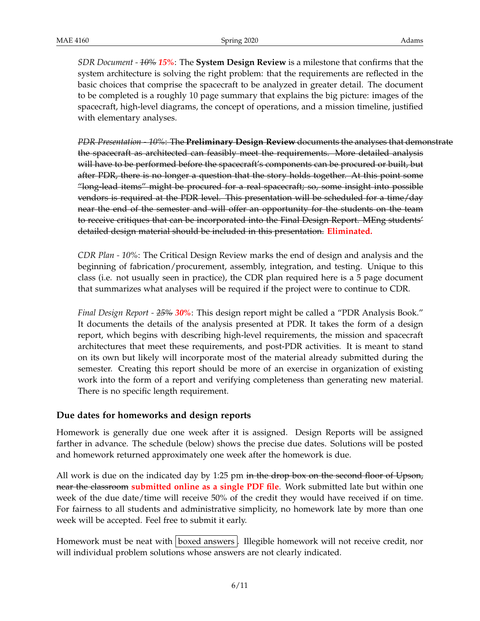*SDR Document - 10% 15%*: The **System Design Review** is a milestone that confirms that the system architecture is solving the right problem: that the requirements are reflected in the basic choices that comprise the spacecraft to be analyzed in greater detail. The document to be completed is a roughly 10 page summary that explains the big picture: images of the spacecraft, high-level diagrams, the concept of operations, and a mission timeline, justified with elementary analyses.

*PDR Presentation - 10%*: The **Preliminary Design Review** documents the analyses that demonstrate the spacecraft as architected can feasibly meet the requirements. More detailed analysis will have to be performed before the spacecraft's components can be procured or built, but after PDR, there is no longer a question that the story holds together. At this point some "long-lead items" might be procured for a real spacecraft; so, some insight into possible vendors is required at the PDR level. This presentation will be scheduled for a time/day near the end of the semester and will offer an opportunity for the students on the team to receive critiques that can be incorporated into the Final Design Report. MEng students' detailed design material should be included in this presentation. **Eliminated.**

*CDR Plan - 10%*: The Critical Design Review marks the end of design and analysis and the beginning of fabrication/procurement, assembly, integration, and testing. Unique to this class (i.e. not usually seen in practice), the CDR plan required here is a 5 page document that summarizes what analyses will be required if the project were to continue to CDR.

*Final Design Report - 25% 30%*: This design report might be called a "PDR Analysis Book." It documents the details of the analysis presented at PDR. It takes the form of a design report, which begins with describing high-level requirements, the mission and spacecraft architectures that meet these requirements, and post-PDR activities. It is meant to stand on its own but likely will incorporate most of the material already submitted during the semester. Creating this report should be more of an exercise in organization of existing work into the form of a report and verifying completeness than generating new material. There is no specific length requirement.

#### **Due dates for homeworks and design reports**

Homework is generally due one week after it is assigned. Design Reports will be assigned farther in advance. The schedule (below) shows the precise due dates. Solutions will be posted and homework returned approximately one week after the homework is due.

All work is due on the indicated day by 1:25 pm in the drop box on the second floor of Upson, near the classroom **submitted online as a single PDF file**. Work submitted late but within one week of the due date/time will receive 50% of the credit they would have received if on time. For fairness to all students and administrative simplicity, no homework late by more than one week will be accepted. Feel free to submit it early.

Homework must be neat with boxed answers. Illegible homework will not receive credit, nor will individual problem solutions whose answers are not clearly indicated.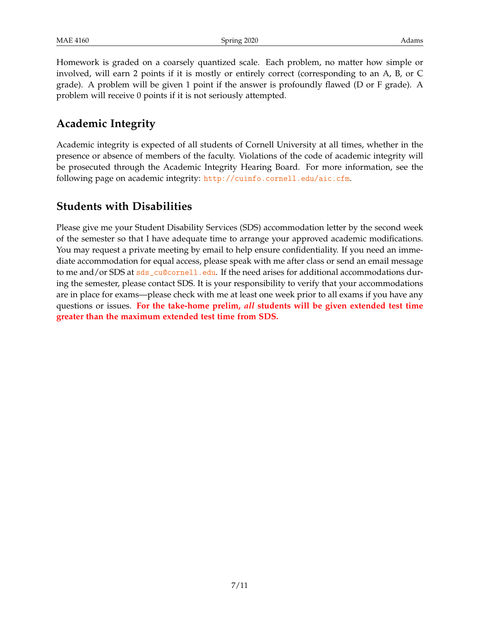Homework is graded on a coarsely quantized scale. Each problem, no matter how simple or involved, will earn 2 points if it is mostly or entirely correct (corresponding to an A, B, or C grade). A problem will be given 1 point if the answer is profoundly flawed (D or F grade). A problem will receive 0 points if it is not seriously attempted.

### **Academic Integrity**

Academic integrity is expected of all students of Cornell University at all times, whether in the presence or absence of members of the faculty. Violations of the code of academic integrity will be prosecuted through the Academic Integrity Hearing Board. For more information, see the following page on academic integrity: <http://cuinfo.cornell.edu/aic.cfm>.

### **Students with Disabilities**

Please give me your Student Disability Services (SDS) accommodation letter by the second week of the semester so that I have adequate time to arrange your approved academic modifications. You may request a private meeting by email to help ensure confidentiality. If you need an immediate accommodation for equal access, please speak with me after class or send an email message to me and/or SDS at  $sds$  cu@cornell.edu. If the need arises for additional accommodations during the semester, please contact SDS. It is your responsibility to verify that your accommodations are in place for exams—please check with me at least one week prior to all exams if you have any questions or issues. **For the take-home prelim,** *all* **students will be given extended test time greater than the maximum extended test time from SDS.**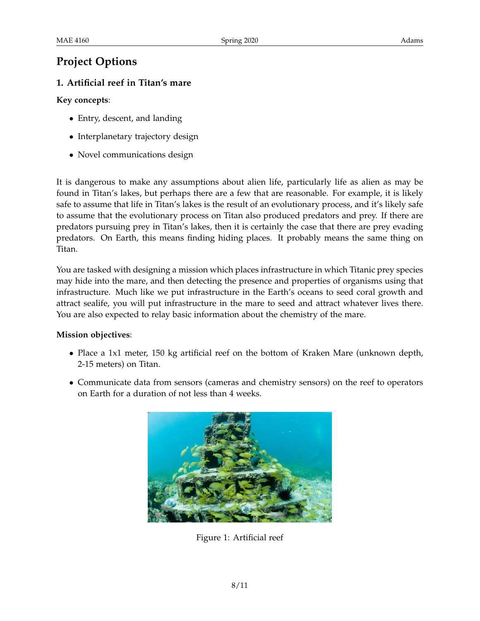### **Project Options**

### **1. Artificial reef in Titan's mare**

#### **Key concepts**:

- Entry, descent, and landing
- Interplanetary trajectory design
- Novel communications design

It is dangerous to make any assumptions about alien life, particularly life as alien as may be found in Titan's lakes, but perhaps there are a few that are reasonable. For example, it is likely safe to assume that life in Titan's lakes is the result of an evolutionary process, and it's likely safe to assume that the evolutionary process on Titan also produced predators and prey. If there are predators pursuing prey in Titan's lakes, then it is certainly the case that there are prey evading predators. On Earth, this means finding hiding places. It probably means the same thing on Titan.

You are tasked with designing a mission which places infrastructure in which Titanic prey species may hide into the mare, and then detecting the presence and properties of organisms using that infrastructure. Much like we put infrastructure in the Earth's oceans to seed coral growth and attract sealife, you will put infrastructure in the mare to seed and attract whatever lives there. You are also expected to relay basic information about the chemistry of the mare.

#### **Mission objectives**:

- Place a 1x1 meter, 150 kg artificial reef on the bottom of Kraken Mare (unknown depth, 2-15 meters) on Titan.
- Communicate data from sensors (cameras and chemistry sensors) on the reef to operators on Earth for a duration of not less than 4 weeks.



Figure 1: Artificial reef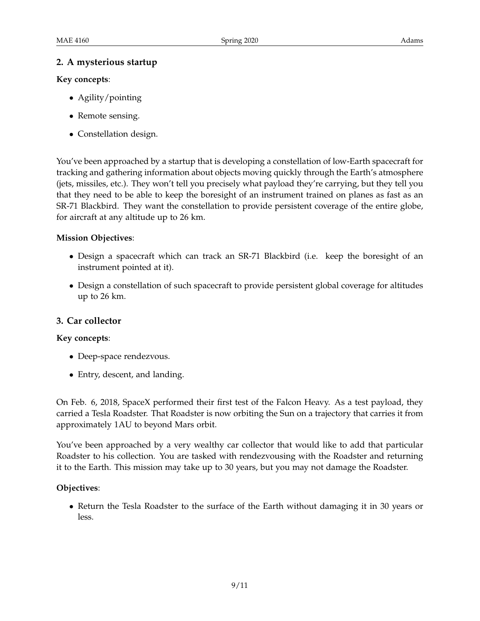#### **2. A mysterious startup**

#### **Key concepts**:

- Agility/pointing
- Remote sensing.
- Constellation design.

You've been approached by a startup that is developing a constellation of low-Earth spacecraft for tracking and gathering information about objects moving quickly through the Earth's atmosphere (jets, missiles, etc.). They won't tell you precisely what payload they're carrying, but they tell you that they need to be able to keep the boresight of an instrument trained on planes as fast as an SR-71 Blackbird. They want the constellation to provide persistent coverage of the entire globe, for aircraft at any altitude up to 26 km.

#### **Mission Objectives**:

- Design a spacecraft which can track an SR-71 Blackbird (i.e. keep the boresight of an instrument pointed at it).
- Design a constellation of such spacecraft to provide persistent global coverage for altitudes up to 26 km.

#### **3. Car collector**

#### **Key concepts**:

- Deep-space rendezvous.
- Entry, descent, and landing.

On Feb. 6, 2018, SpaceX performed their first test of the Falcon Heavy. As a test payload, they carried a Tesla Roadster. That Roadster is now orbiting the Sun on a trajectory that carries it from approximately 1AU to beyond Mars orbit.

You've been approached by a very wealthy car collector that would like to add that particular Roadster to his collection. You are tasked with rendezvousing with the Roadster and returning it to the Earth. This mission may take up to 30 years, but you may not damage the Roadster.

#### **Objectives**:

• Return the Tesla Roadster to the surface of the Earth without damaging it in 30 years or less.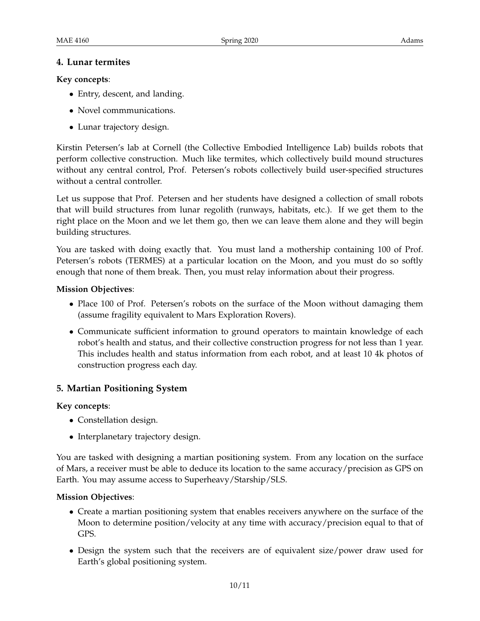#### **4. Lunar termites**

#### **Key concepts**:

- Entry, descent, and landing.
- Novel commmunications.
- Lunar trajectory design.

Kirstin Petersen's lab at Cornell (the Collective Embodied Intelligence Lab) builds robots that perform collective construction. Much like termites, which collectively build mound structures without any central control, Prof. Petersen's robots collectively build user-specified structures without a central controller.

Let us suppose that Prof. Petersen and her students have designed a collection of small robots that will build structures from lunar regolith (runways, habitats, etc.). If we get them to the right place on the Moon and we let them go, then we can leave them alone and they will begin building structures.

You are tasked with doing exactly that. You must land a mothership containing 100 of Prof. Petersen's robots (TERMES) at a particular location on the Moon, and you must do so softly enough that none of them break. Then, you must relay information about their progress.

#### **Mission Objectives**:

- Place 100 of Prof. Petersen's robots on the surface of the Moon without damaging them (assume fragility equivalent to Mars Exploration Rovers).
- Communicate sufficient information to ground operators to maintain knowledge of each robot's health and status, and their collective construction progress for not less than 1 year. This includes health and status information from each robot, and at least 10 4k photos of construction progress each day.

#### **5. Martian Positioning System**

#### **Key concepts**:

- Constellation design.
- Interplanetary trajectory design.

You are tasked with designing a martian positioning system. From any location on the surface of Mars, a receiver must be able to deduce its location to the same accuracy/precision as GPS on Earth. You may assume access to Superheavy/Starship/SLS.

#### **Mission Objectives**:

- Create a martian positioning system that enables receivers anywhere on the surface of the Moon to determine position/velocity at any time with accuracy/precision equal to that of GPS.
- Design the system such that the receivers are of equivalent size/power draw used for Earth's global positioning system.